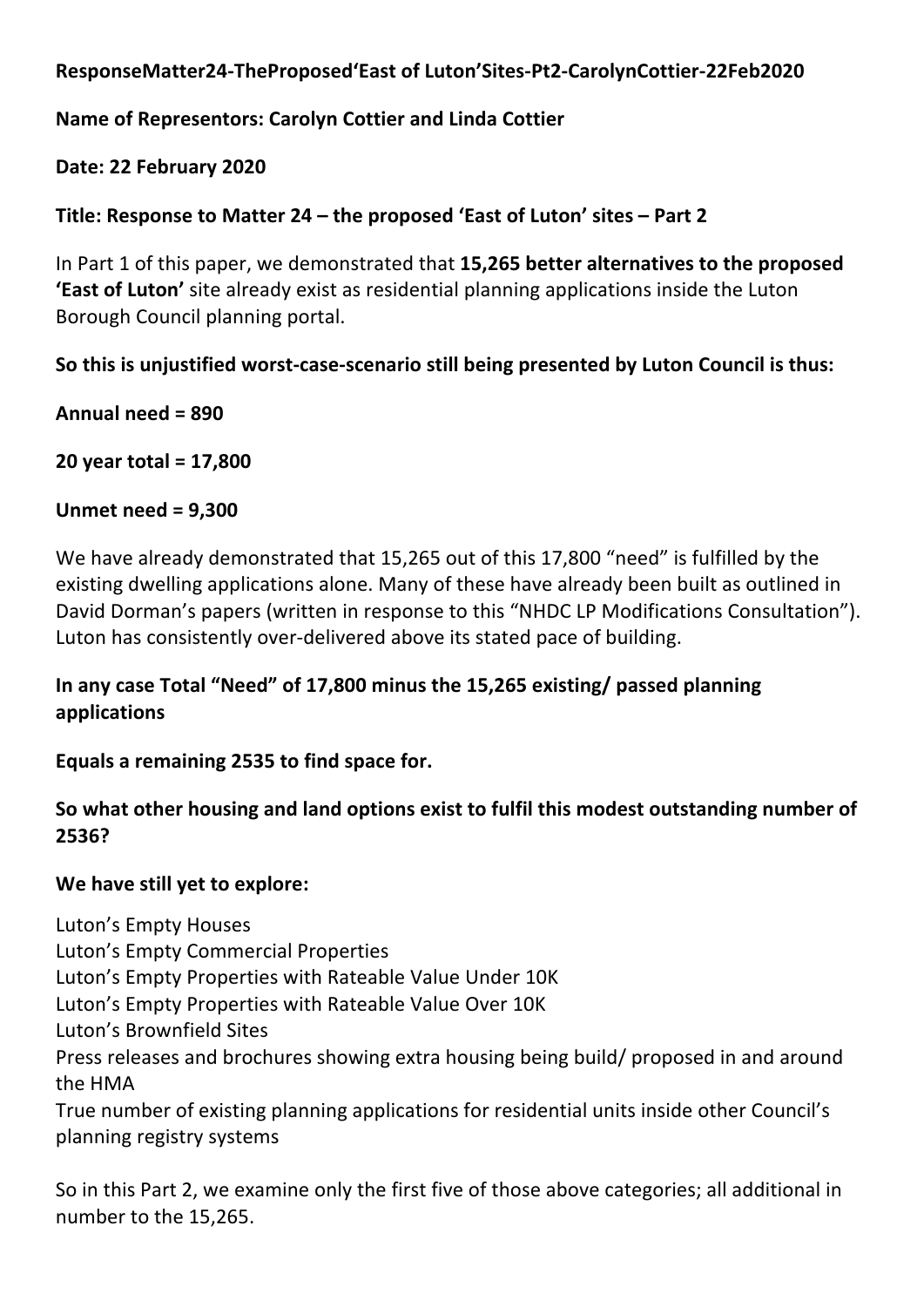## **ResponseMatter24-TheProposed'East of Luton'Sites-Pt2-CarolynCottier-22Feb2020**

## **Name of Representors: Carolyn Cottier and Linda Cottier**

**Date: 22 February 2020**

**Title: Response to Matter 24 – the proposed 'East of Luton' sites – Part 2**

In Part 1 of this paper, we demonstrated that **15,265 better alternatives to the proposed 'East of Luton'** site already exist as residential planning applications inside the Luton Borough Council planning portal.

**So this is unjustified worst-case-scenario still being presented by Luton Council is thus:**

**Annual need = 890**

**20 year total = 17,800**

#### **Unmet need = 9,300**

We have already demonstrated that 15,265 out of this 17,800 "need" is fulfilled by the existing dwelling applications alone. Many of these have already been built as outlined in David Dorman's papers (written in response to this "NHDC LP Modifications Consultation"). Luton has consistently over-delivered above its stated pace of building.

## **In any case Total "Need" of 17,800 minus the 15,265 existing/ passed planning applications**

**Equals a remaining 2535 to find space for.**

## **So what other housing and land options exist to fulfil this modest outstanding number of 2536?**

## **We have still yet to explore:**

Luton's Empty Houses Luton's Empty Commercial Properties Luton's Empty Properties with Rateable Value Under 10K Luton's Empty Properties with Rateable Value Over 10K Luton's Brownfield Sites Press releases and brochures showing extra housing being build/ proposed in and around the HMA True number of existing planning applications for residential units inside other Council's

planning registry systems

So in this Part 2, we examine only the first five of those above categories; all additional in number to the 15,265.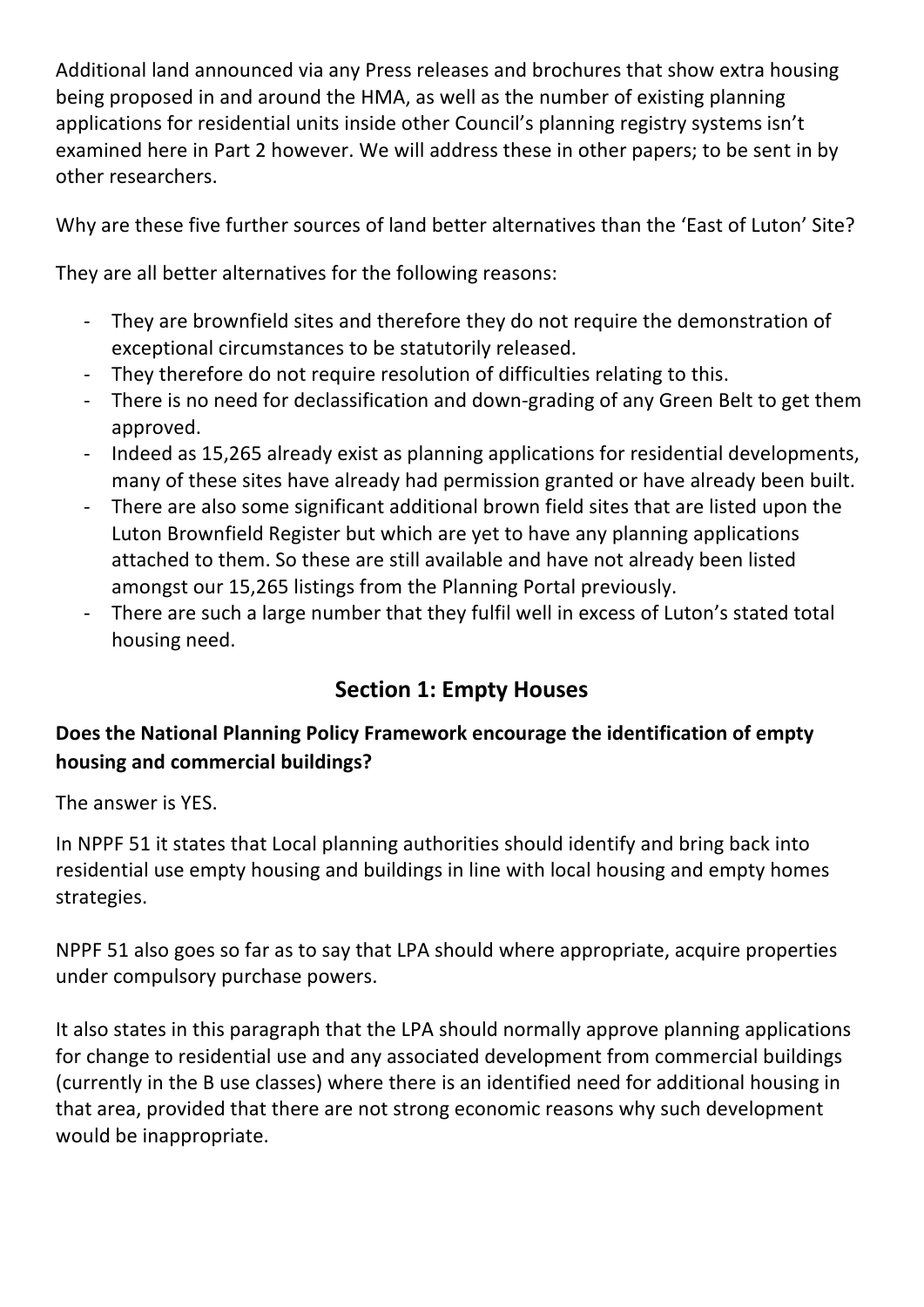Additional land announced via any Press releases and brochures that show extra housing being proposed in and around the HMA, as well as the number of existing planning applications for residential units inside other Council's planning registry systems isn't examined here in Part 2 however. We will address these in other papers; to be sent in by other researchers.

Why are these five further sources of land better alternatives than the 'East of Luton' Site?

They are all better alternatives for the following reasons:

- They are brownfield sites and therefore they do not require the demonstration of exceptional circumstances to be statutorily released.
- They therefore do not require resolution of difficulties relating to this.
- There is no need for declassification and down-grading of any Green Belt to get them approved.
- Indeed as 15,265 already exist as planning applications for residential developments, many of these sites have already had permission granted or have already been built.
- There are also some significant additional brown field sites that are listed upon the Luton Brownfield Register but which are yet to have any planning applications attached to them. So these are still available and have not already been listed amongst our 15,265 listings from the Planning Portal previously.
- There are such a large number that they fulfil well in excess of Luton's stated total housing need.

# **Section 1: Empty Houses**

# **Does the National Planning Policy Framework encourage the identification of empty housing and commercial buildings?**

The answer is YES.

In NPPF 51 it states that Local planning authorities should identify and bring back into residential use empty housing and buildings in line with local housing and empty homes strategies.

NPPF 51 also goes so far as to say that LPA should where appropriate, acquire properties under compulsory purchase powers.

It also states in this paragraph that the LPA should normally approve planning applications for change to residential use and any associated development from commercial buildings (currently in the B use classes) where there is an identified need for additional housing in that area, provided that there are not strong economic reasons why such development would be inappropriate.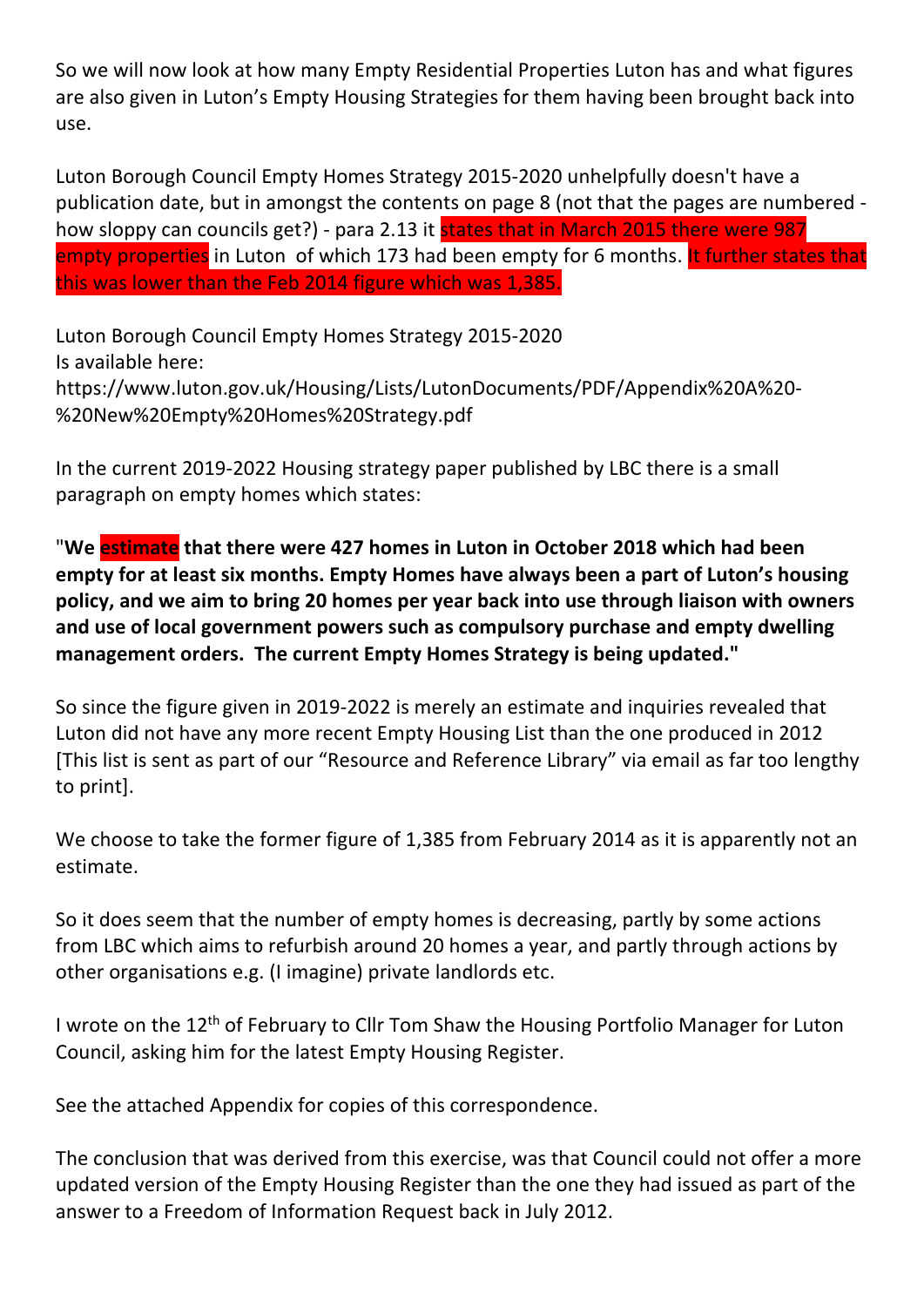So we will now look at how many Empty Residential Properties Luton has and what figures are also given in Luton's Empty Housing Strategies for them having been brought back into use.

Luton Borough Council Empty Homes Strategy 2015-2020 unhelpfully doesn't have a publication date, but in amongst the contents on page 8 (not that the pages are numbered how sloppy can councils get?) - para 2.13 it states that in March 2015 there were 987 empty properties in Luton of which 173 had been empty for 6 months. It further states that this was lower than the Feb 2014 figure which was 1,385.

Luton Borough Council Empty Homes Strategy 2015-2020 Is available here: https://www.luton.gov.uk/Housing/Lists/LutonDocuments/PDF/Appendix%20A%20- %20New%20Empty%20Homes%20Strategy.pdf

In the current 2019-2022 Housing strategy paper published by LBC there is a small paragraph on empty homes which states:

"**We estimate that there were 427 homes in Luton in October 2018 which had been empty for at least six months. Empty Homes have always been a part of Luton's housing policy, and we aim to bring 20 homes per year back into use through liaison with owners and use of local government powers such as compulsory purchase and empty dwelling management orders. The current Empty Homes Strategy is being updated."**

So since the figure given in 2019-2022 is merely an estimate and inquiries revealed that Luton did not have any more recent Empty Housing List than the one produced in 2012 [This list is sent as part of our "Resource and Reference Library" via email as far too lengthy to print].

We choose to take the former figure of 1,385 from February 2014 as it is apparently not an estimate.

So it does seem that the number of empty homes is decreasing, partly by some actions from LBC which aims to refurbish around 20 homes a year, and partly through actions by other organisations e.g. (I imagine) private landlords etc.

I wrote on the 12th of February to Cllr Tom Shaw the Housing Portfolio Manager for Luton Council, asking him for the latest Empty Housing Register.

See the attached Appendix for copies of this correspondence.

The conclusion that was derived from this exercise, was that Council could not offer a more updated version of the Empty Housing Register than the one they had issued as part of the answer to a Freedom of Information Request back in July 2012.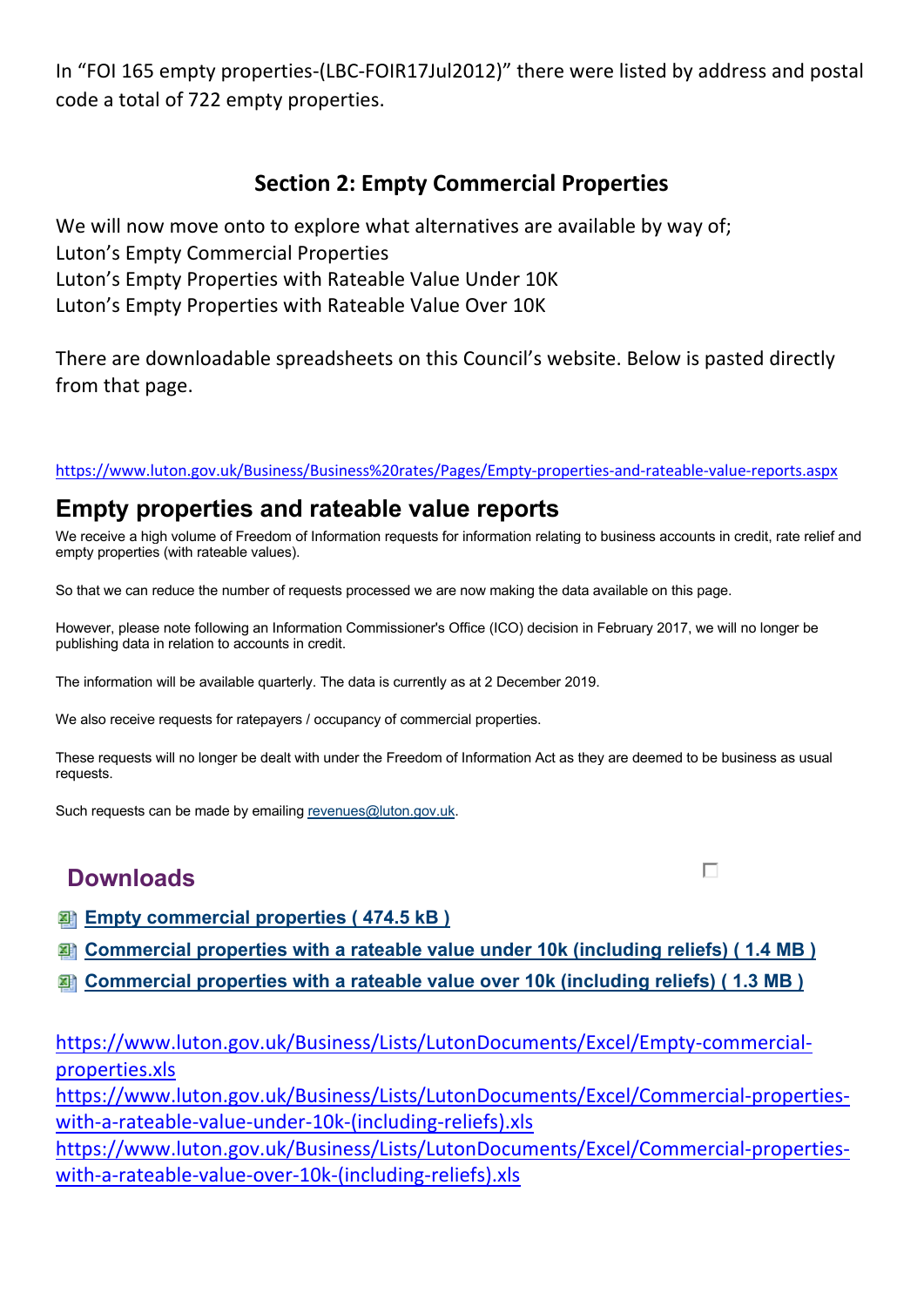In "FOI 165 empty properties-(LBC-FOIR17Jul2012)" there were listed by address and postal code a total of 722 empty properties.

# **Section 2: Empty Commercial Properties**

We will now move onto to explore what alternatives are available by way of; Luton's Empty Commercial Properties Luton's Empty Properties with Rateable Value Under 10K Luton's Empty Properties with Rateable Value Over 10K

There are downloadable spreadsheets on this Council's website. Below is pasted directly from that page.

https://www.luton.gov.uk/Business/Business%20rates/Pages/Empty-properties-and-rateable-value-reports.aspx

# **Empty properties and rateable value reports**

We receive a high volume of Freedom of Information requests for information relating to business accounts in credit, rate relief and empty properties (with rateable values).

So that we can reduce the number of requests processed we are now making the data available on this page.

However, please note following an Information Commissioner's Office (ICO) decision in February 2017, we will no longer be publishing data in relation to accounts in credit.

The information will be available quarterly. The data is currently as at 2 December 2019.

We also receive requests for ratepayers / occupancy of commercial properties.

These requests will no longer be dealt with under the Freedom of Information Act as they are deemed to be business as usual requests.

Such requests can be made by emailing revenues@luton.gov.uk.

# **Downloads**

П

- **Empty commercial properties ( 474.5 kB )**
- **Commercial properties with a rateable value under 10k (including reliefs) ( 1.4 MB )**
- **Commercial properties with a rateable value over 10k (including reliefs) ( 1.3 MB )**

https://www.luton.gov.uk/Business/Lists/LutonDocuments/Excel/Empty-commercialproperties.xls

https://www.luton.gov.uk/Business/Lists/LutonDocuments/Excel/Commercial-propertieswith-a-rateable-value-under-10k-(including-reliefs).xls

https://www.luton.gov.uk/Business/Lists/LutonDocuments/Excel/Commercial-propertieswith-a-rateable-value-over-10k-(including-reliefs).xls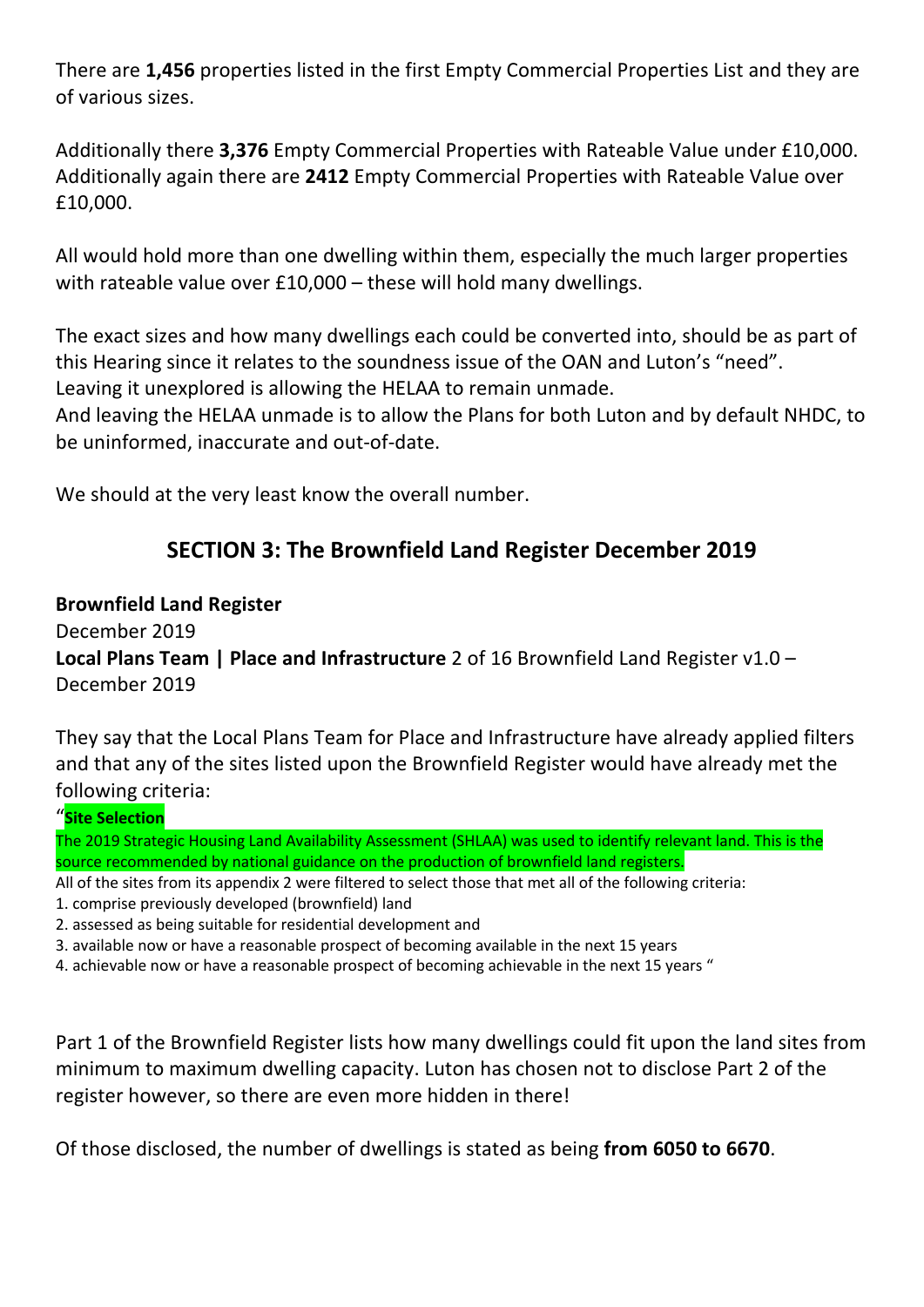There are **1,456** properties listed in the first Empty Commercial Properties List and they are of various sizes.

Additionally there **3,376** Empty Commercial Properties with Rateable Value under £10,000. Additionally again there are **2412** Empty Commercial Properties with Rateable Value over £10,000.

All would hold more than one dwelling within them, especially the much larger properties with rateable value over £10,000 – these will hold many dwellings.

The exact sizes and how many dwellings each could be converted into, should be as part of this Hearing since it relates to the soundness issue of the OAN and Luton's "need". Leaving it unexplored is allowing the HELAA to remain unmade.

And leaving the HELAA unmade is to allow the Plans for both Luton and by default NHDC, to

be uninformed, inaccurate and out-of-date.

We should at the very least know the overall number.

# **SECTION 3: The Brownfield Land Register December 2019**

## **Brownfield Land Register**

December 2019 **Local Plans Team | Place and Infrastructure** 2 of 16 Brownfield Land Register v1.0 – December 2019

They say that the Local Plans Team for Place and Infrastructure have already applied filters and that any of the sites listed upon the Brownfield Register would have already met the following criteria:

#### "**Site Selection**

The 2019 Strategic Housing Land Availability Assessment (SHLAA) was used to identify relevant land. This is the source recommended by national guidance on the production of brownfield land registers.

All of the sites from its appendix 2 were filtered to select those that met all of the following criteria:

- 1. comprise previously developed (brownfield) land
- 2. assessed as being suitable for residential development and
- 3. available now or have a reasonable prospect of becoming available in the next 15 years
- 4. achievable now or have a reasonable prospect of becoming achievable in the next 15 years "

Part 1 of the Brownfield Register lists how many dwellings could fit upon the land sites from minimum to maximum dwelling capacity. Luton has chosen not to disclose Part 2 of the register however, so there are even more hidden in there!

Of those disclosed, the number of dwellings is stated as being **from 6050 to 6670**.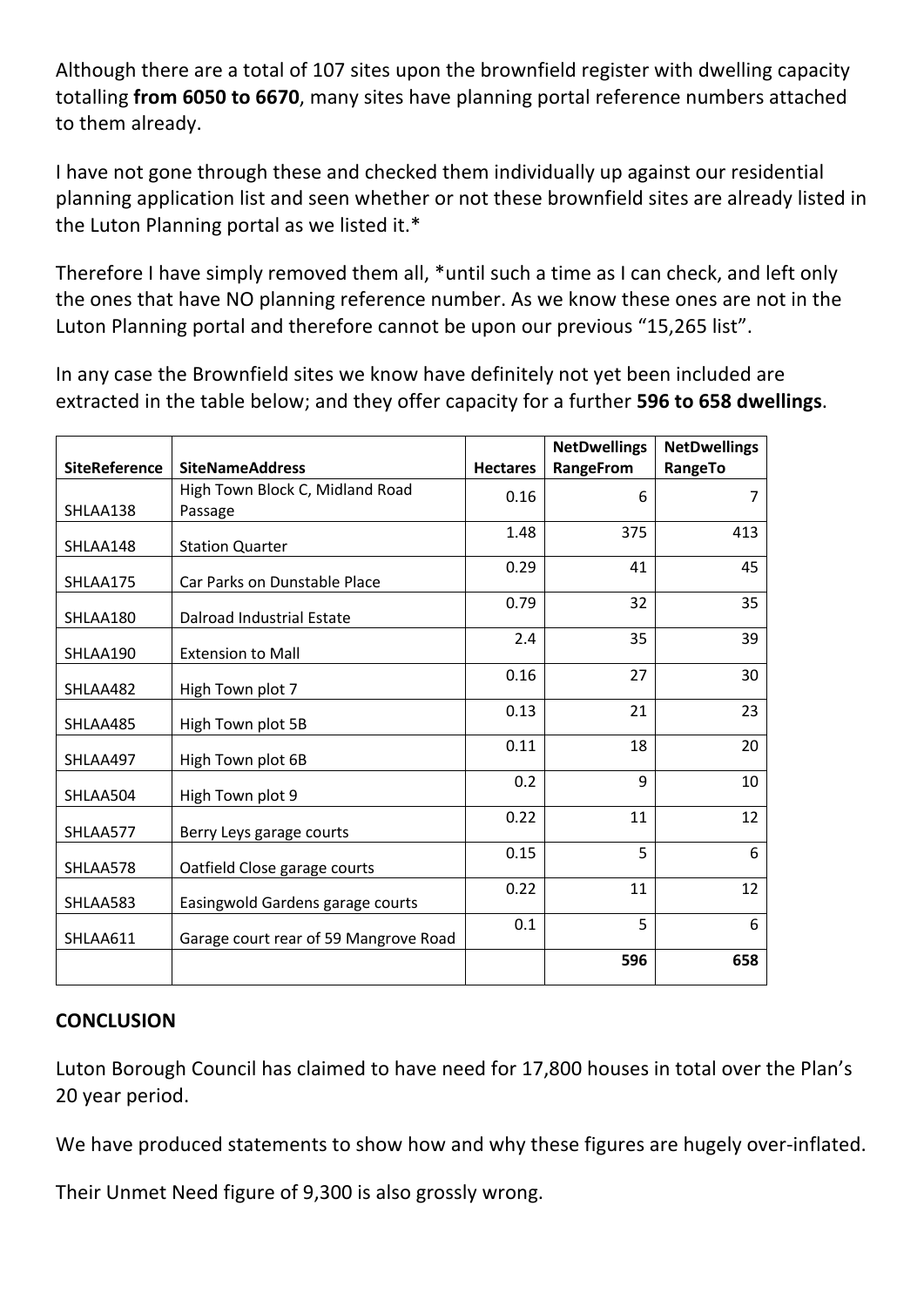Although there are a total of 107 sites upon the brownfield register with dwelling capacity totalling **from 6050 to 6670**, many sites have planning portal reference numbers attached to them already.

I have not gone through these and checked them individually up against our residential planning application list and seen whether or not these brownfield sites are already listed in the Luton Planning portal as we listed it.\*

Therefore I have simply removed them all, \*until such a time as I can check, and left only the ones that have NO planning reference number. As we know these ones are not in the Luton Planning portal and therefore cannot be upon our previous "15,265 list".

In any case the Brownfield sites we know have definitely not yet been included are extracted in the table below; and they offer capacity for a further **596 to 658 dwellings**.

|                      |                                       |                 | <b>NetDwellings</b> | <b>NetDwellings</b> |
|----------------------|---------------------------------------|-----------------|---------------------|---------------------|
| <b>SiteReference</b> | <b>SiteNameAddress</b>                | <b>Hectares</b> | <b>RangeFrom</b>    | RangeTo             |
|                      | High Town Block C, Midland Road       | 0.16            | 6                   | 7                   |
| SHLAA138             | Passage                               |                 |                     |                     |
| SHLAA148             | <b>Station Quarter</b>                | 1.48            | 375                 | 413                 |
| SHLAA175             | Car Parks on Dunstable Place          | 0.29            | 41                  | 45                  |
| SHLAA180             | <b>Dalroad Industrial Estate</b>      | 0.79            | 32                  | 35                  |
| SHLAA190             | <b>Extension to Mall</b>              | 2.4             | 35                  | 39                  |
| SHLAA482             | High Town plot 7                      | 0.16            | 27                  | 30                  |
| SHLAA485             | High Town plot 5B                     | 0.13            | 21                  | 23                  |
| SHLAA497             | High Town plot 6B                     | 0.11            | 18                  | 20                  |
| SHLAA504             | High Town plot 9                      | 0.2             | 9                   | 10                  |
| SHLAA577             | Berry Leys garage courts              | 0.22            | 11                  | 12                  |
| SHLAA578             | Oatfield Close garage courts          | 0.15            | 5                   | 6                   |
| SHLAA583             | Easingwold Gardens garage courts      | 0.22            | 11                  | 12                  |
| SHLAA611             | Garage court rear of 59 Mangrove Road | 0.1             | 5                   | 6                   |
|                      |                                       |                 | 596                 | 658                 |

#### **CONCLUSION**

Luton Borough Council has claimed to have need for 17,800 houses in total over the Plan's 20 year period.

We have produced statements to show how and why these figures are hugely over-inflated.

Their Unmet Need figure of 9,300 is also grossly wrong.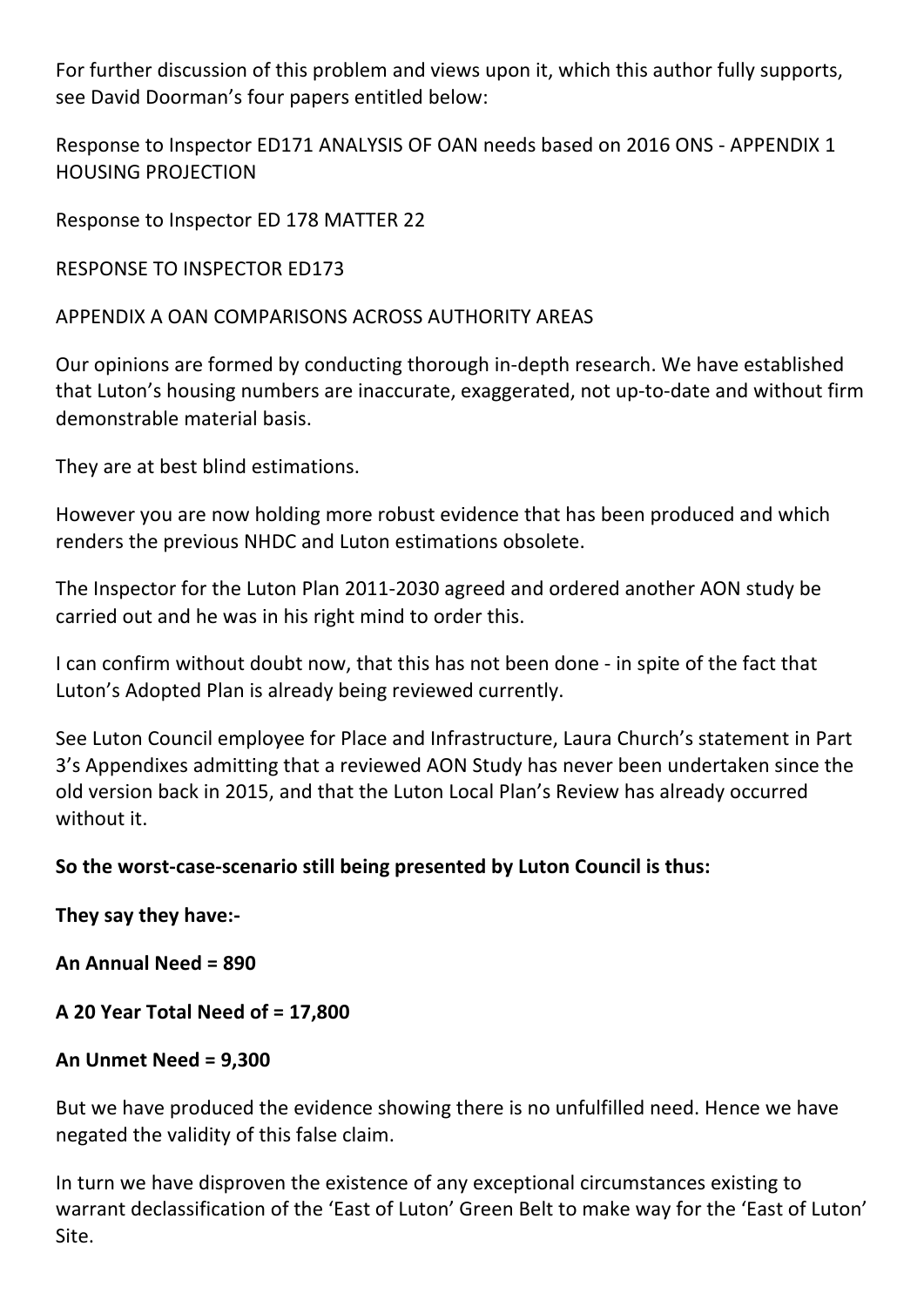For further discussion of this problem and views upon it, which this author fully supports, see David Doorman's four papers entitled below:

Response to Inspector ED171 ANALYSIS OF OAN needs based on 2016 ONS - APPENDIX 1 HOUSING PROJECTION

Response to Inspector ED 178 MATTER 22

RESPONSE TO INSPECTOR ED173

APPENDIX A OAN COMPARISONS ACROSS AUTHORITY AREAS

Our opinions are formed by conducting thorough in-depth research. We have established that Luton's housing numbers are inaccurate, exaggerated, not up-to-date and without firm demonstrable material basis.

They are at best blind estimations.

However you are now holding more robust evidence that has been produced and which renders the previous NHDC and Luton estimations obsolete.

The Inspector for the Luton Plan 2011-2030 agreed and ordered another AON study be carried out and he was in his right mind to order this.

I can confirm without doubt now, that this has not been done - in spite of the fact that Luton's Adopted Plan is already being reviewed currently.

See Luton Council employee for Place and Infrastructure, Laura Church's statement in Part 3's Appendixes admitting that a reviewed AON Study has never been undertaken since the old version back in 2015, and that the Luton Local Plan's Review has already occurred without it.

## **So the worst-case-scenario still being presented by Luton Council is thus:**

**They say they have:-**

**An Annual Need = 890**

**A 20 Year Total Need of = 17,800**

## **An Unmet Need = 9,300**

But we have produced the evidence showing there is no unfulfilled need. Hence we have negated the validity of this false claim.

In turn we have disproven the existence of any exceptional circumstances existing to warrant declassification of the 'East of Luton' Green Belt to make way for the 'East of Luton' Site.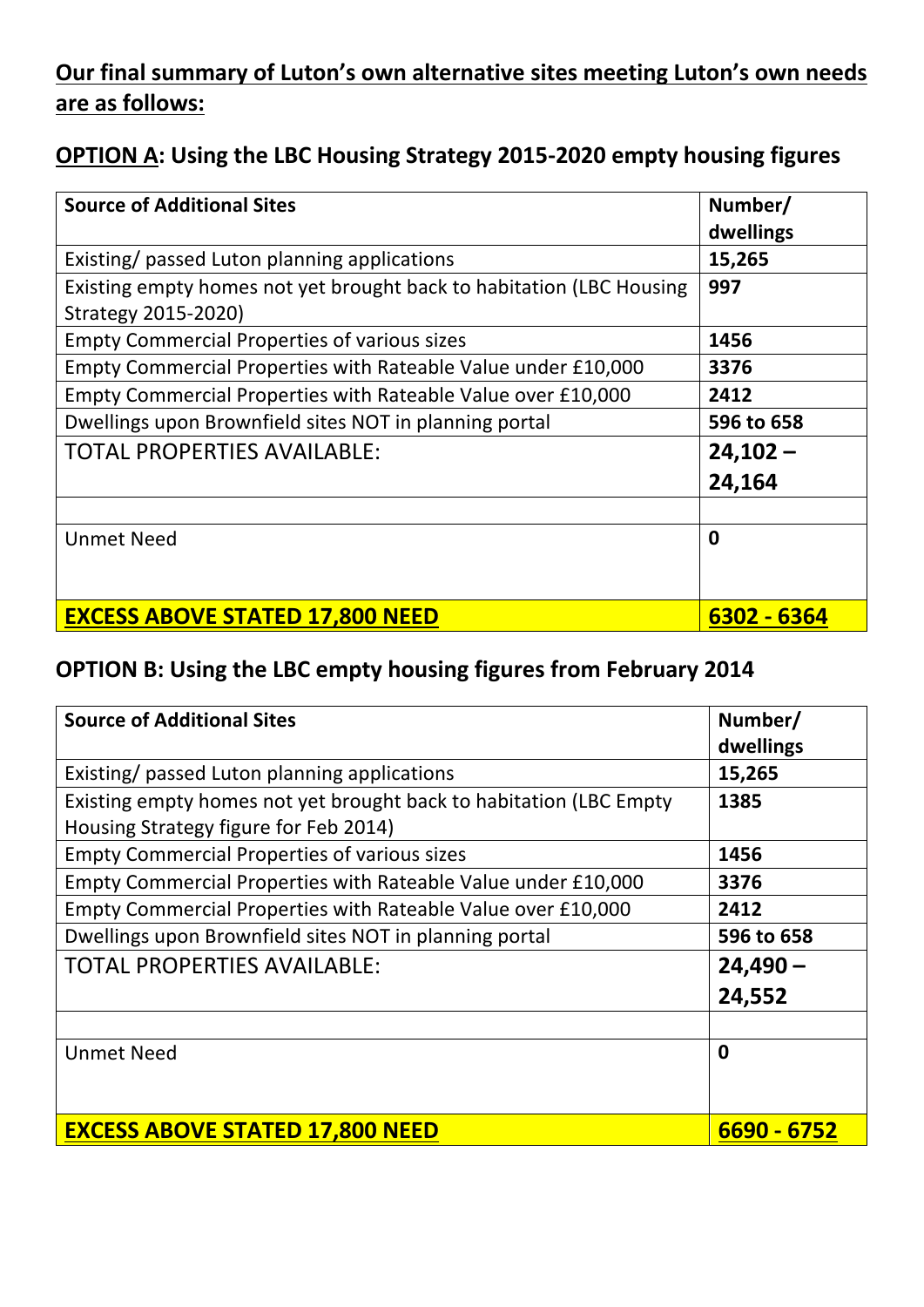# **Our final summary of Luton's own alternative sites meeting Luton's own needs are as follows:**

# **OPTION A: Using the LBC Housing Strategy 2015-2020 empty housing figures**

| <b>Source of Additional Sites</b>                                    | Number/<br>dwellings |
|----------------------------------------------------------------------|----------------------|
|                                                                      |                      |
| Existing/ passed Luton planning applications                         | 15,265               |
| Existing empty homes not yet brought back to habitation (LBC Housing | 997                  |
| Strategy 2015-2020)                                                  |                      |
| <b>Empty Commercial Properties of various sizes</b>                  | 1456                 |
| Empty Commercial Properties with Rateable Value under £10,000        | 3376                 |
| Empty Commercial Properties with Rateable Value over £10,000         | 2412                 |
| Dwellings upon Brownfield sites NOT in planning portal               | 596 to 658           |
| <b>TOTAL PROPERTIES AVAILABLE:</b>                                   | $24,102 -$           |
|                                                                      | 24,164               |
|                                                                      |                      |
| <b>Unmet Need</b>                                                    | $\boldsymbol{0}$     |
|                                                                      |                      |
|                                                                      |                      |
| <b>EXCESS ABOVE STATED 17,800 NEED</b>                               | 6302 - 6364          |

# **OPTION B: Using the LBC empty housing figures from February 2014**

| <b>Source of Additional Sites</b>                                  | Number/<br>dwellings |
|--------------------------------------------------------------------|----------------------|
| Existing/ passed Luton planning applications                       | 15,265               |
| Existing empty homes not yet brought back to habitation (LBC Empty | 1385                 |
| Housing Strategy figure for Feb 2014)                              |                      |
| <b>Empty Commercial Properties of various sizes</b>                | 1456                 |
| Empty Commercial Properties with Rateable Value under £10,000      | 3376                 |
| Empty Commercial Properties with Rateable Value over £10,000       | 2412                 |
| Dwellings upon Brownfield sites NOT in planning portal             | 596 to 658           |
| <b>TOTAL PROPERTIES AVAILABLE:</b>                                 | $24,490 -$           |
|                                                                    | 24,552               |
|                                                                    |                      |
| <b>Unmet Need</b>                                                  | 0                    |
|                                                                    |                      |
| <b>EXCESS ABOVE STATED 17,800 NEED</b>                             | 6690 - 6752          |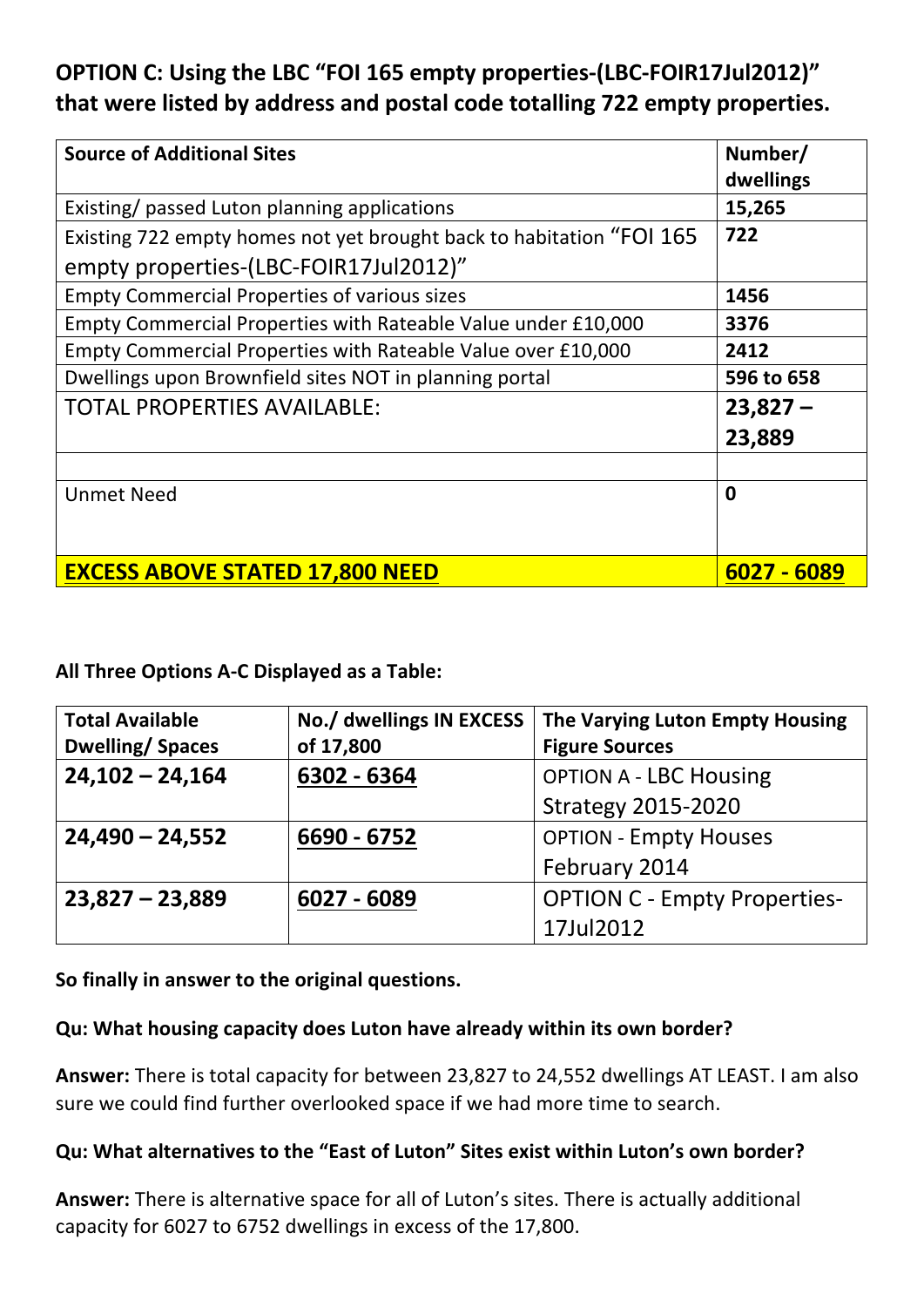# **OPTION C: Using the LBC "FOI 165 empty properties-(LBC-FOIR17Jul2012)" that were listed by address and postal code totalling 722 empty properties.**

| <b>Source of Additional Sites</b>                                    | Number/<br>dwellings |
|----------------------------------------------------------------------|----------------------|
| Existing/ passed Luton planning applications                         | 15,265               |
| Existing 722 empty homes not yet brought back to habitation "FOI 165 | 722                  |
| empty properties-(LBC-FOIR17Jul2012)"                                |                      |
| <b>Empty Commercial Properties of various sizes</b>                  | 1456                 |
| Empty Commercial Properties with Rateable Value under £10,000        | 3376                 |
| Empty Commercial Properties with Rateable Value over £10,000         | 2412                 |
| Dwellings upon Brownfield sites NOT in planning portal               | 596 to 658           |
| <b>TOTAL PROPERTIES AVAILABLE:</b>                                   | $23,827 -$           |
|                                                                      | 23,889               |
|                                                                      |                      |
| <b>Unmet Need</b>                                                    | $\mathbf 0$          |
|                                                                      |                      |
| <b>EXCESS ABOVE STATED 17,800 NEED</b>                               | 6027 - 6089          |

**All Three Options A-C Displayed as a Table:**

| <b>Total Available</b>           | No./ dwellings IN EXCESS | The Varying Luton Empty Housing     |  |
|----------------------------------|--------------------------|-------------------------------------|--|
| <b>Dwelling/Spaces</b>           | of 17,800                | <b>Figure Sources</b>               |  |
| $24,102 - 24,164$<br>6302 - 6364 |                          | <b>OPTION A - LBC Housing</b>       |  |
|                                  |                          | <b>Strategy 2015-2020</b>           |  |
| $24,490 - 24,552$                | 6690 - 6752              | <b>OPTION - Empty Houses</b>        |  |
|                                  |                          | February 2014                       |  |
| $23,827 - 23,889$                | 6027 - 6089              | <b>OPTION C - Empty Properties-</b> |  |
|                                  |                          | 17Jul2012                           |  |

**So finally in answer to the original questions.**

#### **Qu: What housing capacity does Luton have already within its own border?**

**Answer:** There is total capacity for between 23,827 to 24,552 dwellings AT LEAST. I am also sure we could find further overlooked space if we had more time to search.

#### **Qu: What alternatives to the "East of Luton" Sites exist within Luton's own border?**

**Answer:** There is alternative space for all of Luton's sites. There is actually additional capacity for 6027 to 6752 dwellings in excess of the 17,800.